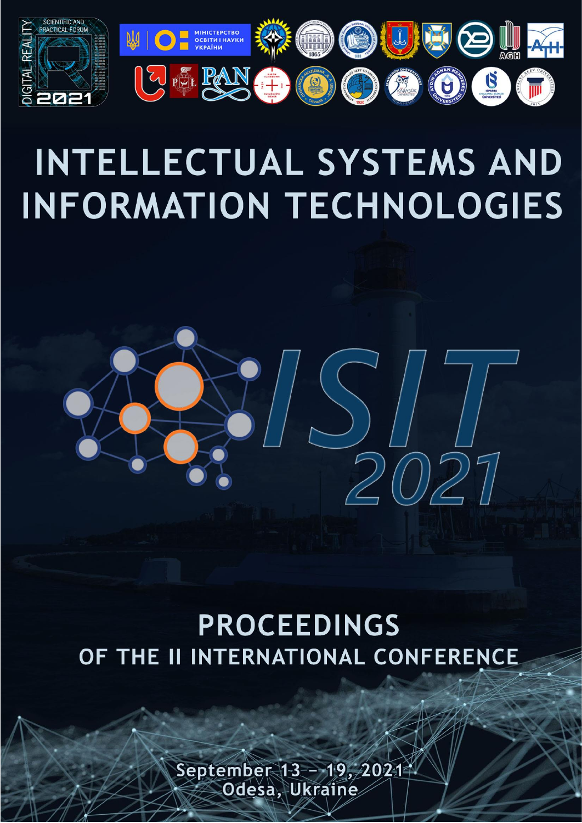

# **INTELLECTUAL SYSTEMS AND INFORMATION TECHNOLOGIES**



## **PROCEEDINGS** OF THE II INTERNATIONAL CONFERENCE

September 13-- 19, 2021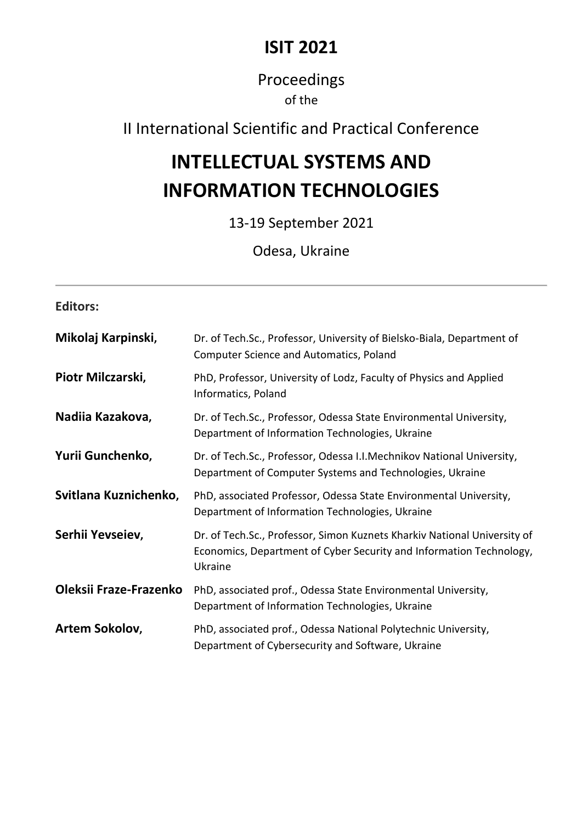## **ISIT 2021**

### Proceedings of the

## II International Scientific and Practical Conference

## **INTELLECTUAL SYSTEMS AND INFORMATION TECHNOLOGIES**

13-19 September 2021

Odesa, Ukraine

| <b>Editors:</b>        |                                                                                                                                                            |
|------------------------|------------------------------------------------------------------------------------------------------------------------------------------------------------|
| Mikolaj Karpinski,     | Dr. of Tech.Sc., Professor, University of Bielsko-Biala, Department of<br><b>Computer Science and Automatics, Poland</b>                                   |
| Piotr Milczarski,      | PhD, Professor, University of Lodz, Faculty of Physics and Applied<br>Informatics, Poland                                                                  |
| Nadiia Kazakova,       | Dr. of Tech.Sc., Professor, Odessa State Environmental University,<br>Department of Information Technologies, Ukraine                                      |
| Yurii Gunchenko,       | Dr. of Tech.Sc., Professor, Odessa I.I.Mechnikov National University,<br>Department of Computer Systems and Technologies, Ukraine                          |
| Svitlana Kuznichenko,  | PhD, associated Professor, Odessa State Environmental University,<br>Department of Information Technologies, Ukraine                                       |
| Serhii Yevseiev,       | Dr. of Tech.Sc., Professor, Simon Kuznets Kharkiv National University of<br>Economics, Department of Cyber Security and Information Technology,<br>Ukraine |
| Oleksii Fraze-Frazenko | PhD, associated prof., Odessa State Environmental University,<br>Department of Information Technologies, Ukraine                                           |
| Artem Sokolov,         | PhD, associated prof., Odessa National Polytechnic University,<br>Department of Cybersecurity and Software, Ukraine                                        |